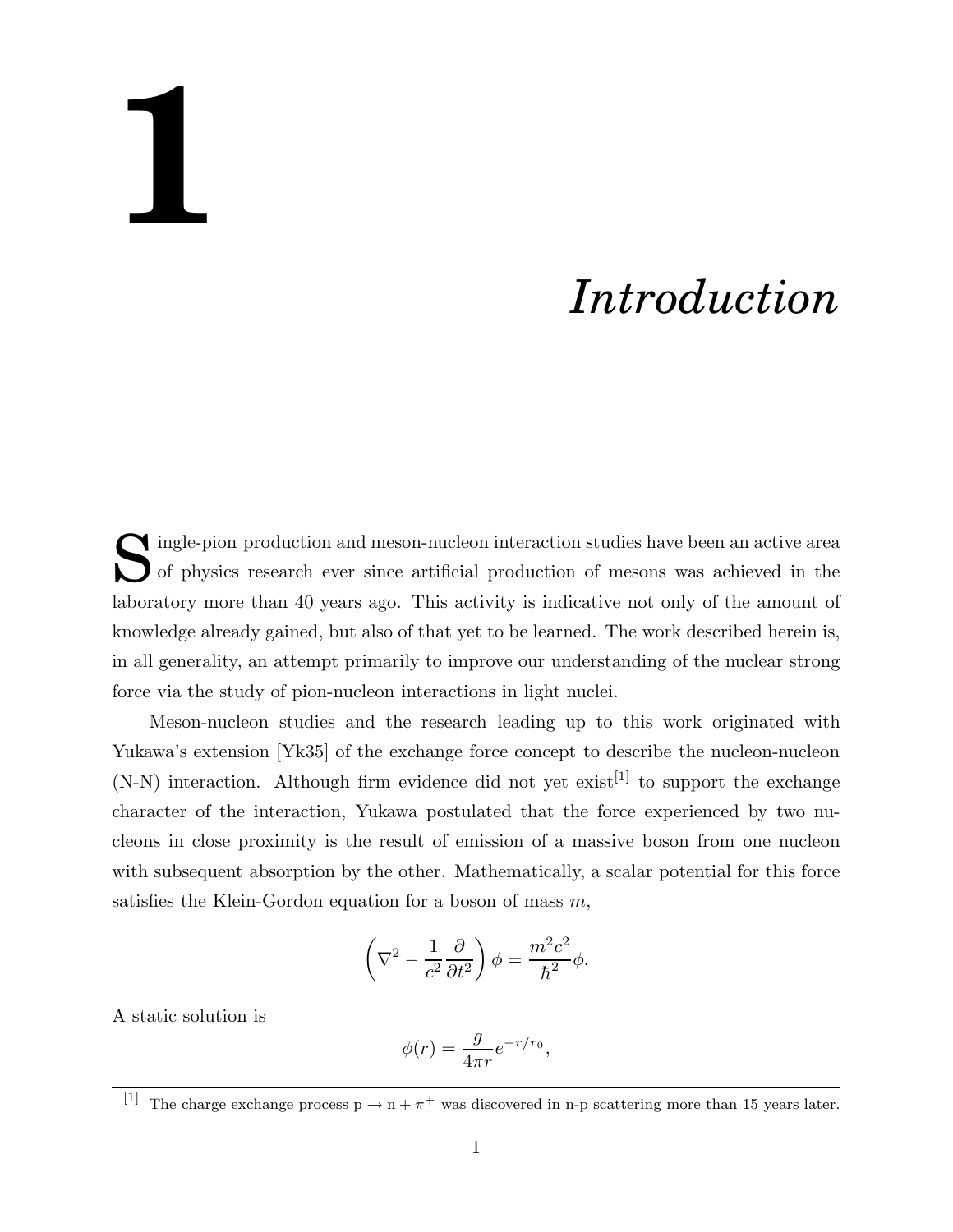## **1**

## *Introduction*

Single-pion production and meson-nucleon interaction studies have been an active area of physics research ever since artificial production of mesons was achieved in the of physics research ever since artificial production of mesons was achieved in the laboratory more than 40 years ago. This activity is indicative not only of the amount of knowledge already gained, but also of that yet to be learned. The work described herein is, in all generality, an attempt primarily to improve our understanding of the nuclear strong force via the study of pion-nucleon interactions in light nuclei.

Meson-nucleon studies and the research leading up to this work originated with Yukawa's extension [Yk35] of the exchange force concept to describe the nucleon-nucleon  $(N-N)$  interaction. Although firm evidence did not yet exist<sup>[1]</sup> to support the exchange character of the interaction, Yukawa postulated that the force experienced by two nucleons in close proximity is the result of emission of a massive boson from one nucleon with subsequent absorption by the other. Mathematically, a scalar potential for this force satisfies the Klein-Gordon equation for a boson of mass  $m$ ,

$$
\left(\nabla^2 - \frac{1}{c^2} \frac{\partial}{\partial t^2}\right) \phi = \frac{m^2 c^2}{\hbar^2} \phi.
$$

A static solution is

$$
\phi(r) = \frac{g}{4\pi r} e^{-r/r_0},
$$

<sup>&</sup>lt;sup>[1]</sup> The charge exchange process  $p \to n + \pi^+$  was discovered in n-p scattering more than 15 years later.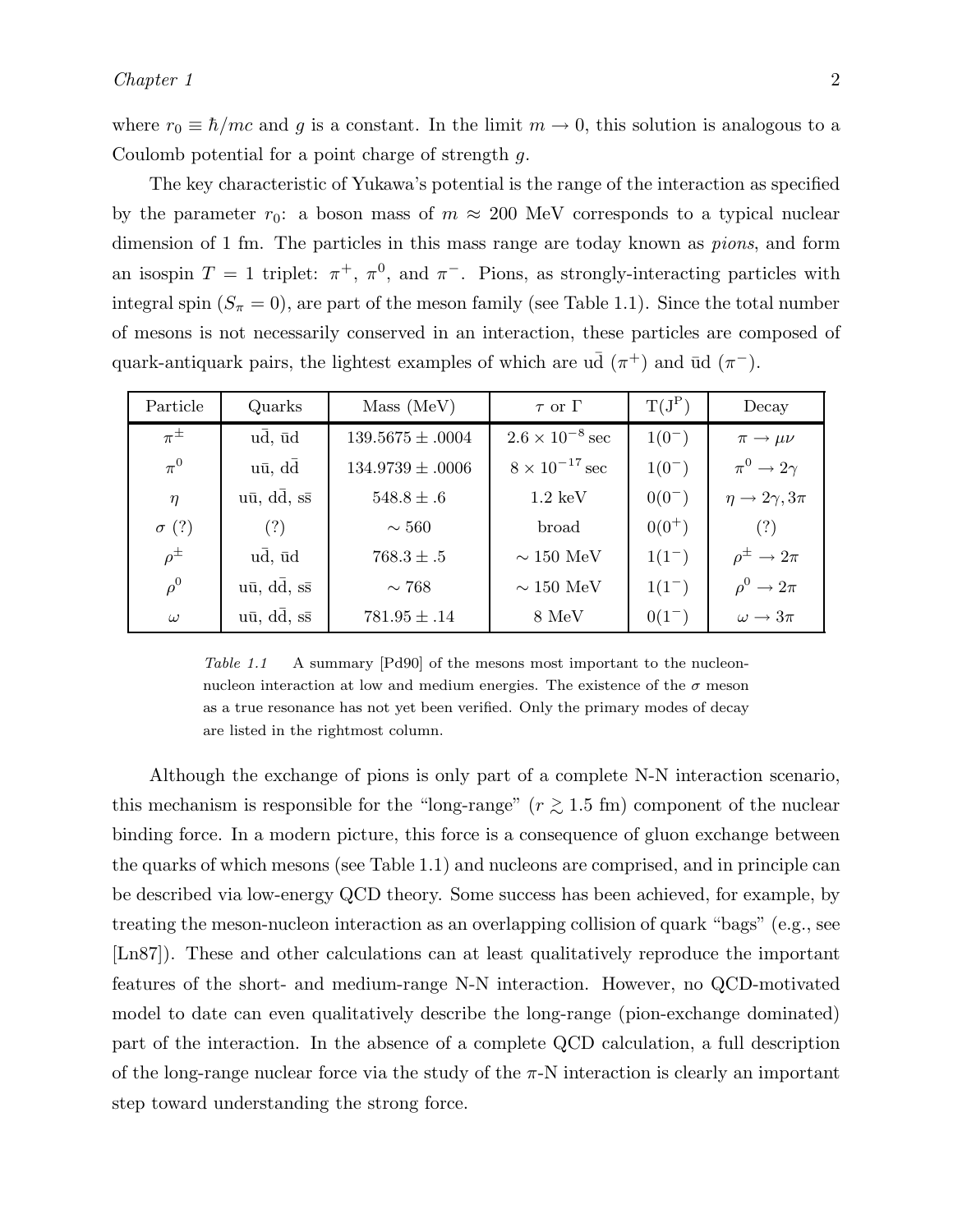where  $r_0 \equiv \hbar/mc$  and g is a constant. In the limit  $m \to 0$ , this solution is analogous to a Coulomb potential for a point charge of strength g.

The key characteristic of Yukawa's potential is the range of the interaction as specified by the parameter  $r_0$ : a boson mass of  $m \approx 200$  MeV corresponds to a typical nuclear dimension of 1 fm. The particles in this mass range are today known as *pions*, and form an isospin  $T = 1$  triplet:  $\pi^+$ ,  $\pi^0$ , and  $\pi^-$ . Pions, as strongly-interacting particles with integral spin  $(S_\pi = 0)$ , are part of the meson family (see Table 1.1). Since the total number of mesons is not necessarily conserved in an interaction, these particles are composed of quark-antiquark pairs, the lightest examples of which are  $\overline{u}$   $(\pi^+)$  and  $\overline{u}$   $(\pi^-)$ .

| Particle     | Quarks                               | Mass (MeV)           | $\tau$ or $\Gamma$       | $T(J^P)$   | Decay                            |
|--------------|--------------------------------------|----------------------|--------------------------|------------|----------------------------------|
| $\pi^{\pm}$  | $u\bar{d}$ , $\bar{u}d$              | $139.5675 \pm .0004$ | $2.6 \times 10^{-8}$ sec | $1(0^{-})$ | $\pi \rightarrow \mu \nu$        |
| $\pi^0$      | $u\bar{u}$ , $d\bar{d}$              | $134.9739 \pm .0006$ | $8 \times 10^{-17}$ sec  | $1(0^{-})$ | $\pi^0 \to 2\gamma$              |
| $\eta$       | $u\bar{u}$ , $d\bar{d}$ , $s\bar{s}$ | $548.8 \pm .6$       | $1.2 \text{ keV}$        | $0(0^{-})$ | $\eta \rightarrow 2\gamma, 3\pi$ |
| $\sigma$ (?) | (?)                                  | $\sim 560$           | broad                    | $0(0^+)$   | (?)                              |
| $\rho^{\pm}$ | $u\bar{d}$ , $\bar{u}d$              | $768.3 \pm .5$       | $\sim 150\ \mathrm{MeV}$ | $1(1^{-})$ | $\rho^{\pm} \rightarrow 2\pi$    |
| $\rho^0$     | $u\bar{u}$ , $d\bar{d}$ , $s\bar{s}$ | $\sim 768$           | $\sim 150\ \mathrm{MeV}$ | $1(1^{-})$ | $\rho^0 \rightarrow 2\pi$        |
| $\omega$     | $u\bar{u}$ , $d\bar{d}$ , $s\bar{s}$ | $781.95 \pm .14$     | $8 \text{ MeV}$          | $0(1^{-})$ | $\omega \rightarrow 3\pi$        |

Table 1.1 A summary [Pd90] of the mesons most important to the nucleonnucleon interaction at low and medium energies. The existence of the  $\sigma$  meson as a true resonance has not yet been verified. Only the primary modes of decay are listed in the rightmost column.

Although the exchange of pions is only part of a complete N-N interaction scenario, this mechanism is responsible for the "long-range" ( $r \gtrsim 1.5$  fm) component of the nuclear binding force. In a modern picture, this force is a consequence of gluon exchange between the quarks of which mesons (see Table 1.1) and nucleons are comprised, and in principle can be described via low-energy QCD theory. Some success has been achieved, for example, by treating the meson-nucleon interaction as an overlapping collision of quark "bags" (e.g., see [Ln87]). These and other calculations can at least qualitatively reproduce the important features of the short- and medium-range N-N interaction. However, no QCD-motivated model to date can even qualitatively describe the long-range (pion-exchange dominated) part of the interaction. In the absence of a complete QCD calculation, a full description of the long-range nuclear force via the study of the  $\pi$ -N interaction is clearly an important step toward understanding the strong force.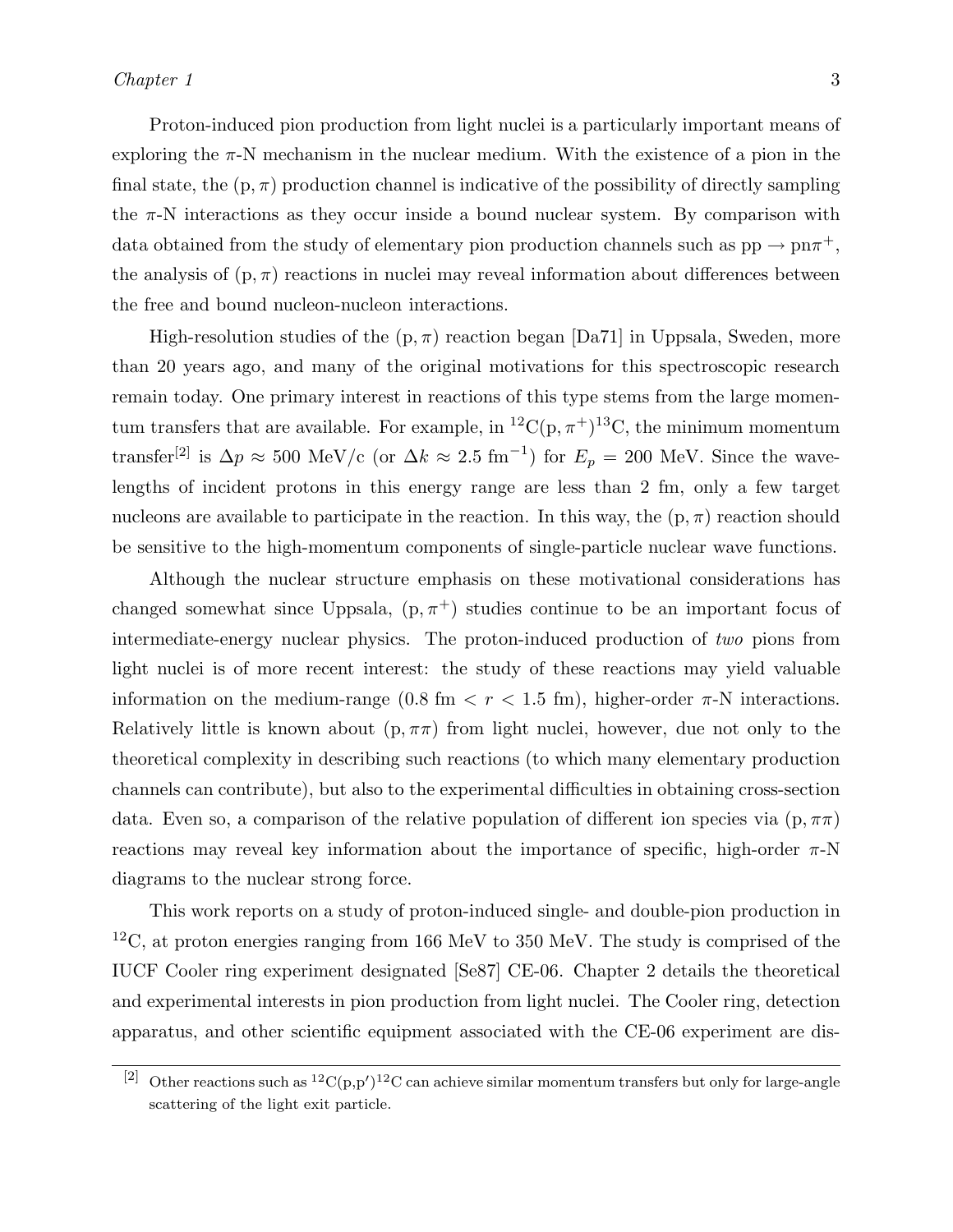Proton-induced pion production from light nuclei is a particularly important means of exploring the  $\pi$ -N mechanism in the nuclear medium. With the existence of a pion in the final state, the  $(p, \pi)$  production channel is indicative of the possibility of directly sampling the  $\pi$ -N interactions as they occur inside a bound nuclear system. By comparison with data obtained from the study of elementary pion production channels such as  $pp \to pn\pi^+$ , the analysis of  $(p, \pi)$  reactions in nuclei may reveal information about differences between the free and bound nucleon-nucleon interactions.

High-resolution studies of the  $(p, \pi)$  reaction began [Da71] in Uppsala, Sweden, more than 20 years ago, and many of the original motivations for this spectroscopic research remain today. One primary interest in reactions of this type stems from the large momentum transfers that are available. For example, in  ${}^{12}C(p, \pi^+){}^{13}C$ , the minimum momentum transfer<sup>[2]</sup> is  $\Delta p \approx 500 \text{ MeV/c}$  (or  $\Delta k \approx 2.5 \text{ fm}^{-1}$ ) for  $E_p = 200 \text{ MeV}$ . Since the wavelengths of incident protons in this energy range are less than 2 fm, only a few target nucleons are available to participate in the reaction. In this way, the  $(p, \pi)$  reaction should be sensitive to the high-momentum components of single-particle nuclear wave functions.

Although the nuclear structure emphasis on these motivational considerations has changed somewhat since Uppsala,  $(p, \pi^+)$  studies continue to be an important focus of intermediate-energy nuclear physics. The proton-induced production of *two* pions from light nuclei is of more recent interest: the study of these reactions may yield valuable information on the medium-range  $(0.8 \text{ fm} < r < 1.5 \text{ fm})$ , higher-order  $\pi$ -N interactions. Relatively little is known about  $(p, \pi\pi)$  from light nuclei, however, due not only to the theoretical complexity in describing such reactions (to which many elementary production channels can contribute), but also to the experimental difficulties in obtaining cross-section data. Even so, a comparison of the relative population of different ion species via  $(p, \pi\pi)$ reactions may reveal key information about the importance of specific, high-order  $\pi$ -N diagrams to the nuclear strong force.

This work reports on a study of proton-induced single- and double-pion production in  $12^{\circ}$ C, at proton energies ranging from 166 MeV to 350 MeV. The study is comprised of the IUCF Cooler ring experiment designated [Se87] CE-06. Chapter 2 details the theoretical and experimental interests in pion production from light nuclei. The Cooler ring, detection apparatus, and other scientific equipment associated with the CE-06 experiment are dis-

<sup>&</sup>lt;sup>[2]</sup> Other reactions such as <sup>12</sup>C(p,p')<sup>12</sup>C can achieve similar momentum transfers but only for large-angle scattering of the light exit particle.